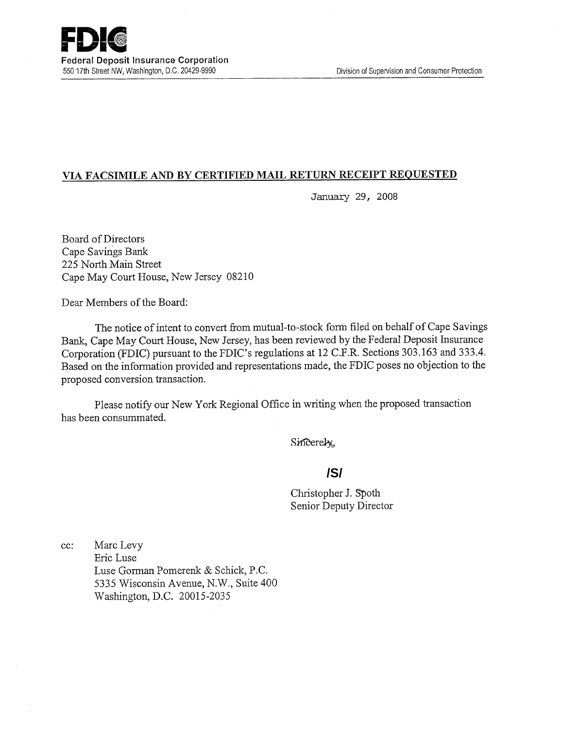## **VIA FACSIMILE AND BY CERTIFIED MAIL RETURN RECEIPT REQUESTED**

January 29, 2008

Board of Directors Cape Savings Bank 225 North Main Street Cape May Court House, New Jersey 08210

Dear Members of the Board:

The notice of intent to convert from mutual-to-stock form filed on behalf of Cape Savings Bank, Cape May Court House, New Jersey, has been reviewed by the Federal Deposit Insurance Corporation (FDIC) pursuant to the FDIC's regulations at 12 C.F.R. Sections 303.163 and 333.4. Based on the information provided and representations made, the FDIC poses no objection to the proposed conversion transaction.

Please notify our New York Regional Office in writing when the proposed transaction has been consummated.

Sincerely,

# **/S/**

Christopher J. Spoth Senior Deputy Director

cc: Marc Levy Eric Luse Luse Gorman Pomererik & Schick, P.C. 5335 Wisconsin Avenue, N.W., Suite 400 Washington, D.C. 20015-2035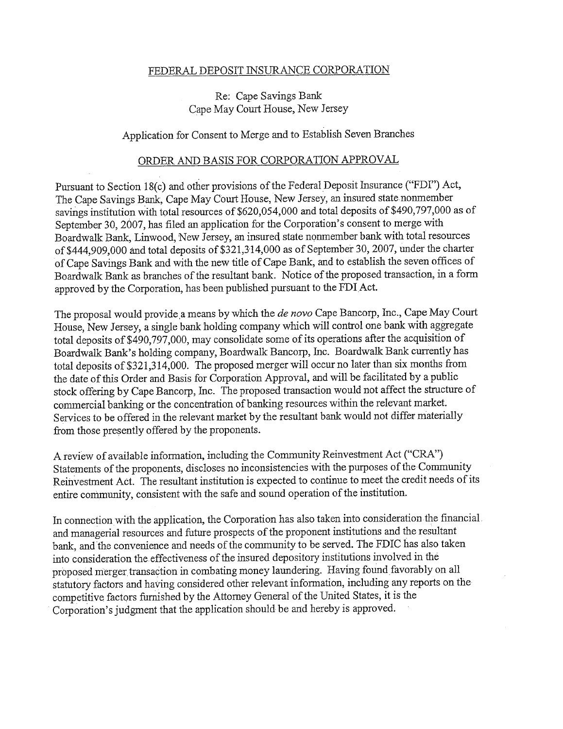#### FEDERAL DEPOSIT INSURANCE CORPORATION

## Re: Cape Savings Bank Cape May Court House, New Jersey

### Application for Consent to Merge and to Establish Seven Branches

#### ORDER AND BASIS FOR CORPORATION APPROVAL

Pursuant to Section 18(c) and other provisions of the Federal Deposit Insurance ("FDI") Act, The Cape Savings Bank, Cape May Court House, New Jersey, an insured state nonmember savings institution with total resources of \$620,054,000 and total deposits of \$490,797,000 as of September 30, 2007, has filed an application for the Corporation's consent to merge with Boardwalk Bank, Linwood, New Jersey, an insured state nonmember bank with total resources of \$444,909,000 and total deposits of \$321,314,000 as of September 30, 2007, under the charter of Cape Savings Bank and with the new title of Cape Bank, and to establish the seven offices of Boardwalk Bank as branches of the resultant bank. Notice of the proposed transaction, in a form approved by the Corporation, has been published pursuant to the FDI Act.

The proposal would provide .a means by which the *de novo* Cape Bancorp, Inc., Cape May Court House, New Jersey, a single bank holding company which will control one bank with aggregate total deposits of \$490,797,000, may consolidate some of its operations after the acquisition of Boardwalk Bank's holding company, Boardwalk Bancorp, Inc. Boardwalk Bank currently has total deposits of \$321,314,000. The proposed merger will occur no later than six months from the date of this Order and Basis for Corporation Approval, and will be facilitated by a public stock offering by Cape Bancorp, Inc. The proposed transaction would not affect the structure of commercial banking or the concentration of banking resources within the relevant market. Services to be offered in the relevant market by the resultant bank would not differ materially from those presently offered by the proponents.

A review of available information, including the Community Reinvestment Act ("CRA") Statements of the proponents, discloses no inconsistencies with the purposes of the Community Reinvestment Act. The resultant institution is expected to continue to meet the credit needs of its entire community, consistent with the safe and sound operation of the institution.

In connection with the application, the Corporation has also taken into consideration the financial and managerial resources and future prospects of the proponent institutions and the resultant bank, and the convenience and needs of the community to be served. The FDIC has also taken into consideration the effectiveness of the insured depository institutions involved in the proposed merger transaction in combating money laundering. Having found favorably on all statutory factors and having considered other relevant information, including any reports on the competitive factors furnished by the Attorney General of the United States, it is the Corporation's judgment that the application should be and hereby is approved.